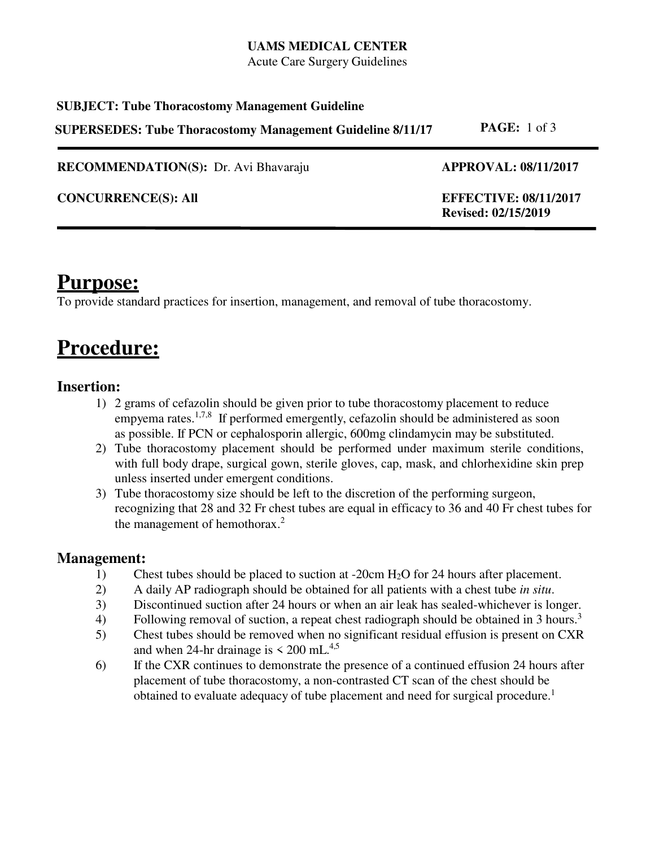#### **UAMS MEDICAL CENTER**

Acute Care Surgery Guidelines

## **SUBJECT: Tube Thoracostomy Management Guideline SUPERSEDES: Tube Thoracostomy Management Guideline 8/11/17 PAGE:** 1 of 3

**RECOMMENDATION(S):** Dr. Avi Bhavaraju **APPROVAL: 08/11/2017** 

**CONCURRENCE(S): All EFFECTIVE: 08/11/2017** 

**Revised: 02/15/2019** 

## **Purpose:**

To provide standard practices for insertion, management, and removal of tube thoracostomy.

## **Procedure:**

### **Insertion:**

- 1) 2 grams of cefazolin should be given prior to tube thoracostomy placement to reduce empyema rates.<sup>1,7,8</sup> If performed emergently, cefazolin should be administered as soon as possible. If PCN or cephalosporin allergic, 600mg clindamycin may be substituted.
- 2) Tube thoracostomy placement should be performed under maximum sterile conditions, with full body drape, surgical gown, sterile gloves, cap, mask, and chlorhexidine skin prep unless inserted under emergent conditions.
- 3) Tube thoracostomy size should be left to the discretion of the performing surgeon, recognizing that 28 and 32 Fr chest tubes are equal in efficacy to 36 and 40 Fr chest tubes for the management of hemothorax.<sup>2</sup>

### **Management:**

- 1) Chest tubes should be placed to suction at -20cm H2O for 24 hours after placement.
- 2) A daily AP radiograph should be obtained for all patients with a chest tube *in situ*.
- 3) Discontinued suction after 24 hours or when an air leak has sealed-whichever is longer.
- 4) Following removal of suction, a repeat chest radiograph should be obtained in 3 hours.<sup>3</sup>
- 5) Chest tubes should be removed when no significant residual effusion is present on CXR and when 24-hr drainage is  $\leq 200$  mL.<sup>4,5</sup>
- 6) If the CXR continues to demonstrate the presence of a continued effusion 24 hours after placement of tube thoracostomy, a non-contrasted CT scan of the chest should be obtained to evaluate adequacy of tube placement and need for surgical procedure. 1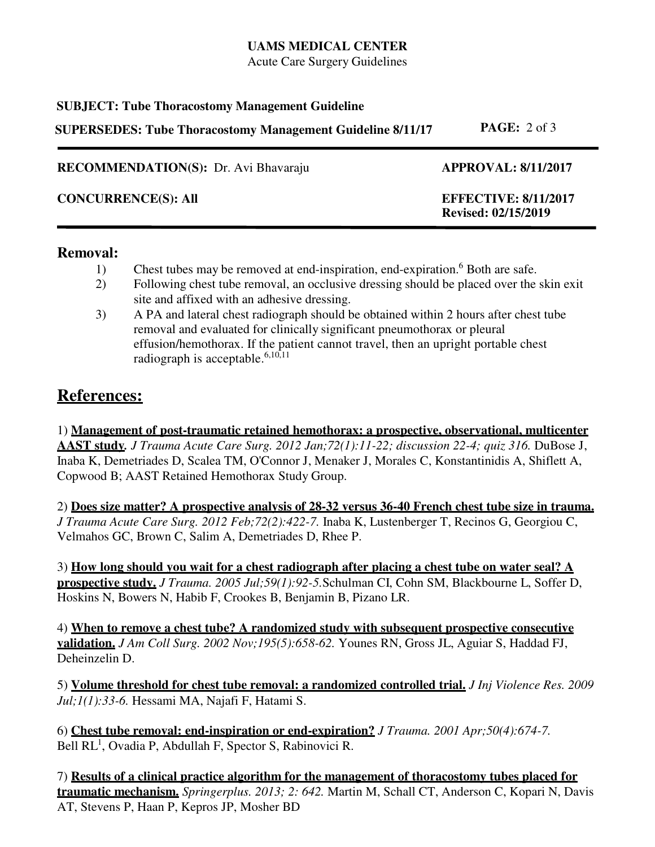#### **UAMS MEDICAL CENTER**

Acute Care Surgery Guidelines

#### **SUBJECT: Tube Thoracostomy Management Guideline**

**SUPERSEDES: Tube Thoracostomy Management Guideline 8/11/17 PAGE:** 2 of 3

**RECOMMENDATION(S):** Dr. Avi Bhavaraju **APPROVAL: 8/11/2017** 

**CONCURRENCE(S): All EFFECTIVE: 8/11/2017** 

# **Revised: 02/15/2019**

#### **Removal:**

- 1) Chest tubes may be removed at end-inspiration, end-expiration.<sup>6</sup> Both are safe.
- 2) Following chest tube removal, an occlusive dressing should be placed over the skin exit site and affixed with an adhesive dressing.
- 3) A PA and lateral chest radiograph should be obtained within 2 hours after chest tube removal and evaluated for clinically significant pneumothorax or pleural effusion/hemothorax. If the patient cannot travel, then an upright portable chest radiograph is acceptable.<sup>6,10,11</sup>

## **References:**

1) **Management of post-traumatic retained hemothorax: a prospective, observational, multicenter AAST study***. J Trauma Acute Care Surg. 2012 Jan;72(1):11-22; discussion 22-4; quiz 316.* DuBose J, Inaba K, Demetriades D, Scalea TM, O'Connor J, Menaker J, Morales C, Konstantinidis A, Shiflett A, Copwood B; AAST Retained Hemothorax Study Group.

2) **Does size matter? A prospective analysis of 28-32 versus 36-40 French chest tube size in trauma.**  *J Trauma Acute Care Surg. 2012 Feb;72(2):422-7.* Inaba K, Lustenberger T, Recinos G, Georgiou C, Velmahos GC, Brown C, Salim A, Demetriades D, Rhee P.

3) **How long should you wait for a chest radiograph after placing a chest tube on water seal? A prospective study.** *J Trauma. 2005 Jul;59(1):92-5.*Schulman CI, Cohn SM, Blackbourne L, Soffer D, Hoskins N, Bowers N, Habib F, Crookes B, Benjamin B, Pizano LR.

4) **When to remove a chest tube? A randomized study with subsequent prospective consecutive validation.** *J Am Coll Surg. 2002 Nov;195(5):658-62.* Younes RN, Gross JL, Aguiar S, Haddad FJ, Deheinzelin D.

5) **Volume threshold for chest tube removal: a randomized controlled trial.** *J Inj Violence Res. 2009 Jul;1(1):33-6.* Hessami MA, Najafi F, Hatami S.

6) **Chest tube removal: end-inspiration or end-expiration?** *J Trauma. 2001 Apr;50(4):674-7.* Bell RL<sup>1</sup>, Ovadia P, Abdullah F, Spector S, Rabinovici R.

7) **Results of a clinical practice algorithm for the management of thoracostomy tubes placed for traumatic mechanism.** *Springerplus. 2013; 2: 642.* Martin M, Schall CT, Anderson C, Kopari N, Davis AT, Stevens P, Haan P, Kepros JP, Mosher BD